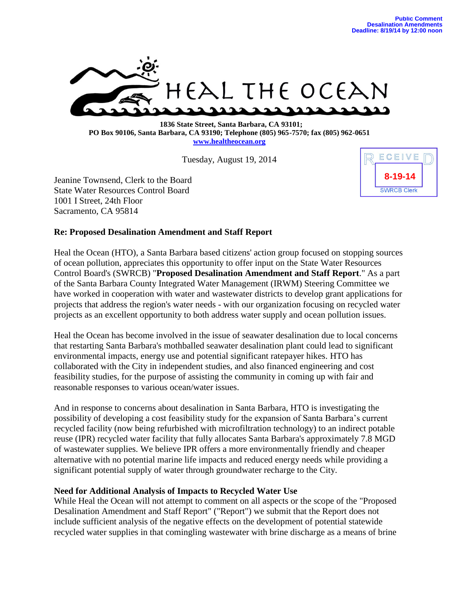

 **1836 State Street, Santa Barbara, CA 93101; PO Box 90106, Santa Barbara, CA 93190; Telephone (805) 965-7570; fax (805) 962-0651 [www.healtheocean.org](http://www.healtheocean.org/)**

Tuesday, August 19, 2014

Jeanine Townsend, Clerk to the Board State Water Resources Control Board 1001 I Street, 24th Floor Sacramento, CA 95814



## **Re: Proposed Desalination Amendment and Staff Report**

Heal the Ocean (HTO), a Santa Barbara based citizens' action group focused on stopping sources of ocean pollution, appreciates this opportunity to offer input on the State Water Resources Control Board's (SWRCB) "**Proposed Desalination Amendment and Staff Report**." As a part of the Santa Barbara County Integrated Water Management (IRWM) Steering Committee we have worked in cooperation with water and wastewater districts to develop grant applications for projects that address the region's water needs - with our organization focusing on recycled water projects as an excellent opportunity to both address water supply and ocean pollution issues.

Heal the Ocean has become involved in the issue of seawater desalination due to local concerns that restarting Santa Barbara's mothballed seawater desalination plant could lead to significant environmental impacts, energy use and potential significant ratepayer hikes. HTO has collaborated with the City in independent studies, and also financed engineering and cost feasibility studies, for the purpose of assisting the community in coming up with fair and reasonable responses to various ocean/water issues.

And in response to concerns about desalination in Santa Barbara, HTO is investigating the possibility of developing a cost feasibility study for the expansion of Santa Barbara's current recycled facility (now being refurbished with microfiltration technology) to an indirect potable reuse (IPR) recycled water facility that fully allocates Santa Barbara's approximately 7.8 MGD of wastewater supplies. We believe IPR offers a more environmentally friendly and cheaper alternative with no potential marine life impacts and reduced energy needs while providing a significant potential supply of water through groundwater recharge to the City.

## **Need for Additional Analysis of Impacts to Recycled Water Use**

While Heal the Ocean will not attempt to comment on all aspects or the scope of the "Proposed Desalination Amendment and Staff Report" ("Report") we submit that the Report does not include sufficient analysis of the negative effects on the development of potential statewide recycled water supplies in that comingling wastewater with brine discharge as a means of brine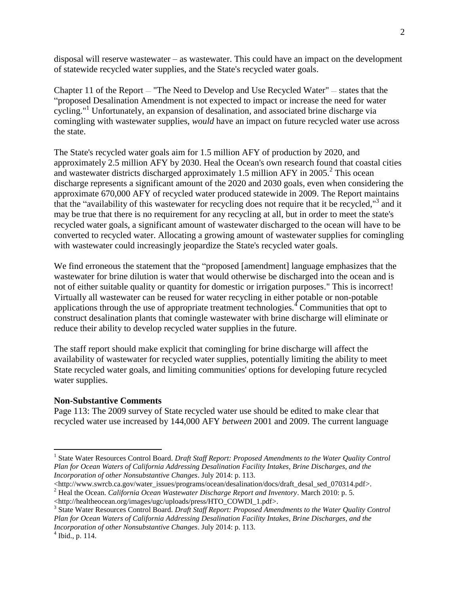disposal will reserve wastewater – as wastewater. This could have an impact on the development of statewide recycled water supplies, and the State's recycled water goals.

Chapter 11 of the Report *—* "The Need to Develop and Use Recycled Water" *—* states that the "proposed Desalination Amendment is not expected to impact or increase the need for water cycling."<sup>1</sup> Unfortunately, an expansion of desalination, and associated brine discharge via comingling with wastewater supplies, *would* have an impact on future recycled water use across the state.

The State's recycled water goals aim for 1.5 million AFY of production by 2020, and approximately 2.5 million AFY by 2030. Heal the Ocean's own research found that coastal cities and wastewater districts discharged approximately 1.5 million AFY in 2005.<sup>2</sup> This ocean discharge represents a significant amount of the 2020 and 2030 goals, even when considering the approximate 670,000 AFY of recycled water produced statewide in 2009. The Report maintains that the "availability of this wastewater for recycling does not require that it be recycled," 3 and it may be true that there is no requirement for any recycling at all, but in order to meet the state's recycled water goals, a significant amount of wastewater discharged to the ocean will have to be converted to recycled water. Allocating a growing amount of wastewater supplies for comingling with wastewater could increasingly jeopardize the State's recycled water goals.

We find erroneous the statement that the "proposed [amendment] language emphasizes that the wastewater for brine dilution is water that would otherwise be discharged into the ocean and is not of either suitable quality or quantity for domestic or irrigation purposes." This is incorrect! Virtually all wastewater can be reused for water recycling in either potable or non-potable applications through the use of appropriate treatment technologies.<sup>4</sup> Communities that opt to construct desalination plants that comingle wastewater with brine discharge will eliminate or reduce their ability to develop recycled water supplies in the future.

The staff report should make explicit that comingling for brine discharge will affect the availability of wastewater for recycled water supplies, potentially limiting the ability to meet State recycled water goals, and limiting communities' options for developing future recycled water supplies.

## **Non-Substantive Comments**

Page 113: The 2009 survey of State recycled water use should be edited to make clear that recycled water use increased by 144,000 AFY *between* 2001 and 2009. The current language

 $\overline{a}$ 

<sup>&</sup>lt;sup>1</sup> State Water Resources Control Board. *Draft Staff Report: Proposed Amendments to the Water Quality Control Plan for Ocean Waters of California Addressing Desalination Facility Intakes, Brine Discharges, and the Incorporation of other Nonsubstantive Changes*. July 2014: p. 113.

<sup>&</sup>lt;http://www.swrcb.ca.gov/water\_issues/programs/ocean/desalination/docs/draft\_desal\_sed\_070314.pdf>. <sup>2</sup> Heal the Ocean. *California Ocean Wastewater Discharge Report and Inventory*. March 2010: p. 5.

<sup>&</sup>lt;http://healtheocean.org/images/ugc/uploads/press/HTO\_COWDI\_1.pdf>.

<sup>&</sup>lt;sup>3</sup> State Water Resources Control Board. *Draft Staff Report: Proposed Amendments to the Water Quality Control Plan for Ocean Waters of California Addressing Desalination Facility Intakes, Brine Discharges, and the Incorporation of other Nonsubstantive Changes*. July 2014: p. 113.

 $4$  Ibid., p. 114.